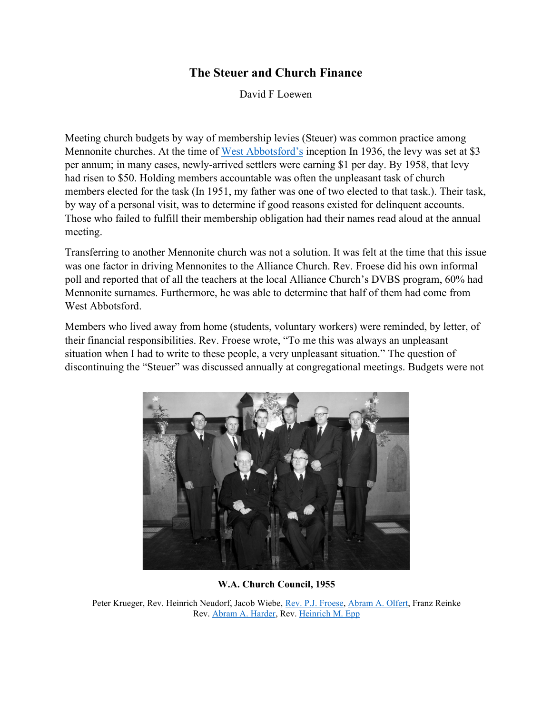## **The Steuer and Church Finance**

David F Loewen

Meeting church budgets by way of membership levies (Steuer) was common practice among Mennonite churches. At the time of [West Abbotsford's](https://gameo.org/index.php?title=West_Abbotsford_Mennonite_Church_(Abbotsford,_British_Columbia,_Canada)) inception In 1936, the levy was set at \$3 per annum; in many cases, newly-arrived settlers were earning \$1 per day. By 1958, that levy had risen to \$50. Holding members accountable was often the unpleasant task of church members elected for the task (In 1951, my father was one of two elected to that task.). Their task, by way of a personal visit, was to determine if good reasons existed for delinquent accounts. Those who failed to fulfill their membership obligation had their names read aloud at the annual meeting.

Transferring to another Mennonite church was not a solution. It was felt at the time that this issue was one factor in driving Mennonites to the Alliance Church. Rev. Froese did his own informal poll and reported that of all the teachers at the local Alliance Church's DVBS program, 60% had Mennonite surnames. Furthermore, he was able to determine that half of them had come from West Abbotsford.

Members who lived away from home (students, voluntary workers) were reminded, by letter, of their financial responsibilities. Rev. Froese wrote, "To me this was always an unpleasant situation when I had to write to these people, a very unpleasant situation." The question of discontinuing the "Steuer" was discussed annually at congregational meetings. Budgets were not



**W.A. Church Council, 1955**

Peter Krueger, Rev. Heinrich Neudorf, Jacob Wiebe, [Rev. P.J. Froese,](https://gameo.org/index.php?title=Froese,_Peter_J._(1913-1997)) [Abram A. Olfert,](https://gameo.org/index.php?title=Olfert,_Abram_A._(1904-2005)) Franz Reinke Rev. [Abram A. Harder,](https://gameo.org/index.php?title=Harder,_Abraham_A._(1893-1974)) Rev. [Heinrich M. Epp](https://gameo.org/index.php?title=Epp,_Heinrich_M._(1904-1958))